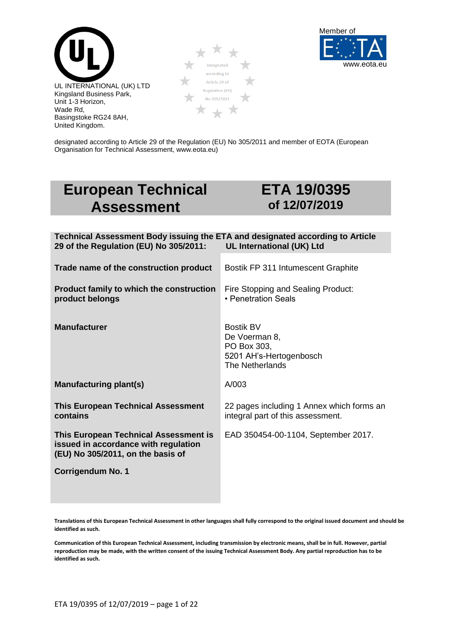





designated according to Article 29 of the Regulation (EU) No 305/2011 and member of EOTA (European Organisation for Technical Assessment, www.eota.eu)

# **European Technical Assessment**

# **ETA 19/0395 of 12/07/2019**

| Technical Assessment Body issuing the ETA and designated according to Article<br>29 of the Regulation (EU) No 305/2011: | UL International (UK) Ltd                                                                      |
|-------------------------------------------------------------------------------------------------------------------------|------------------------------------------------------------------------------------------------|
| Trade name of the construction product                                                                                  | Bostik FP 311 Intumescent Graphite                                                             |
| Product family to which the construction<br>product belongs                                                             | Fire Stopping and Sealing Product:<br>• Penetration Seals                                      |
| <b>Manufacturer</b>                                                                                                     | <b>Bostik BV</b><br>De Voerman 8,<br>PO Box 303,<br>5201 AH's-Hertogenbosch<br>The Netherlands |
| <b>Manufacturing plant(s)</b>                                                                                           | A/003                                                                                          |
| <b>This European Technical Assessment</b><br>contains                                                                   | 22 pages including 1 Annex which forms an<br>integral part of this assessment.                 |
| This European Technical Assessment is<br>issued in accordance with regulation<br>(EU) No 305/2011, on the basis of      | EAD 350454-00-1104, September 2017.                                                            |
| Corrigendum No. 1                                                                                                       |                                                                                                |

**Translations of this European Technical Assessment in other languages shall fully correspond to the original issued document and should be identified as such.**

**Communication of this European Technical Assessment, including transmission by electronic means, shall be in full. However, partial reproduction may be made, with the written consent of the issuing Technical Assessment Body. Any partial reproduction has to be identified as such.**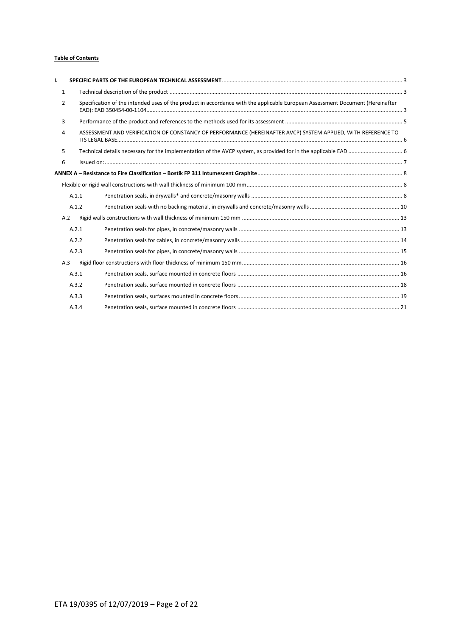#### **Table of Contents**

| $\mathbf{L}$ |                |                                                                                                                               |  |
|--------------|----------------|-------------------------------------------------------------------------------------------------------------------------------|--|
|              | 1              |                                                                                                                               |  |
|              | $\overline{2}$ | Specification of the intended uses of the product in accordance with the applicable European Assessment Document (Hereinafter |  |
|              | 3              |                                                                                                                               |  |
|              | 4              | ASSESSMENT AND VERIFICATION OF CONSTANCY OF PERFORMANCE (HEREINAFTER AVCP) SYSTEM APPLIED, WITH REFERENCE TO                  |  |
|              | 5              |                                                                                                                               |  |
|              | 6              |                                                                                                                               |  |
|              |                |                                                                                                                               |  |
|              |                |                                                                                                                               |  |
|              | A.1.1          |                                                                                                                               |  |
|              | A.1.2          |                                                                                                                               |  |
|              | A.2            |                                                                                                                               |  |
|              | A.2.1          |                                                                                                                               |  |
|              | A.2.2          |                                                                                                                               |  |
|              | A.2.3          |                                                                                                                               |  |
|              | A.3            |                                                                                                                               |  |
|              | A.3.1          |                                                                                                                               |  |
|              | A.3.2          |                                                                                                                               |  |
|              | A.3.3          |                                                                                                                               |  |
|              | A.3.4          |                                                                                                                               |  |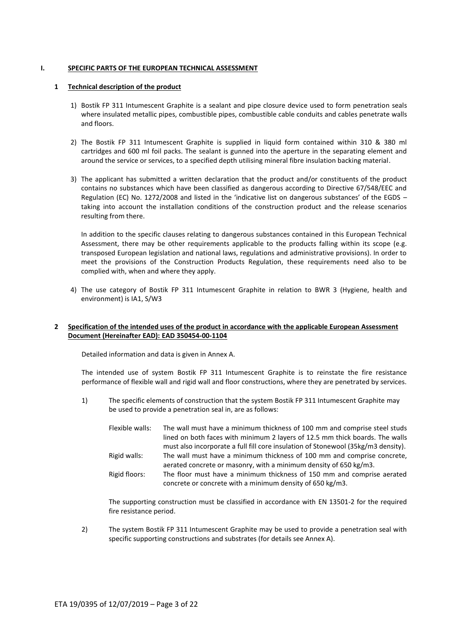#### <span id="page-2-0"></span>**I. SPECIFIC PARTS OF THE EUROPEAN TECHNICAL ASSESSMENT**

#### <span id="page-2-1"></span>**1 Technical description of the product**

- 1) Bostik FP 311 Intumescent Graphite is a sealant and pipe closure device used to form penetration seals where insulated metallic pipes, combustible pipes, combustible cable conduits and cables penetrate walls and floors.
- 2) The Bostik FP 311 Intumescent Graphite is supplied in liquid form contained within 310 & 380 ml cartridges and 600 ml foil packs. The sealant is gunned into the aperture in the separating element and around the service or services, to a specified depth utilising mineral fibre insulation backing material.
- 3) The applicant has submitted a written declaration that the product and/or constituents of the product contains no substances which have been classified as dangerous according to Directive 67/548/EEC and Regulation (EC) No. 1272/2008 and listed in the 'indicative list on dangerous substances' of the EGDS – taking into account the installation conditions of the construction product and the release scenarios resulting from there.

In addition to the specific clauses relating to dangerous substances contained in this European Technical Assessment, there may be other requirements applicable to the products falling within its scope (e.g. transposed European legislation and national laws, regulations and administrative provisions). In order to meet the provisions of the Construction Products Regulation, these requirements need also to be complied with, when and where they apply.

4) The use category of Bostik FP 311 Intumescent Graphite in relation to BWR 3 (Hygiene, health and environment) is IA1, S/W3

#### <span id="page-2-2"></span>**2 Specification of the intended uses of the product in accordance with the applicable European Assessment Document (Hereinafter EAD): EAD 350454-00-1104**

Detailed information and data is given in Annex A.

The intended use of system Bostik FP 311 Intumescent Graphite is to reinstate the fire resistance performance of flexible wall and rigid wall and floor constructions, where they are penetrated by services.

- 1) The specific elements of construction that the system Bostik FP 311 Intumescent Graphite may be used to provide a penetration seal in, are as follows:
	- Flexible walls: The wall must have a minimum thickness of 100 mm and comprise steel studs lined on both faces with minimum 2 layers of 12.5 mm thick boards. The walls must also incorporate a full fill core insulation of Stonewool (35kg/m3 density). Rigid walls: The wall must have a minimum thickness of 100 mm and comprise concrete, aerated concrete or masonry, with a minimum density of 650 kg/m3. Rigid floors: The floor must have a minimum thickness of 150 mm and comprise aerated concrete or concrete with a minimum density of 650 kg/m3.

The supporting construction must be classified in accordance with EN 13501-2 for the required fire resistance period.

2) The system Bostik FP 311 Intumescent Graphite may be used to provide a penetration seal with specific supporting constructions and substrates (for details see Annex A).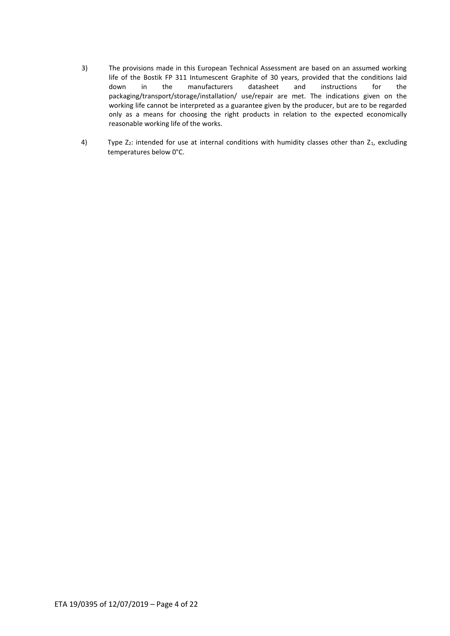- 3) The provisions made in this European Technical Assessment are based on an assumed working life of the Bostik FP 311 Intumescent Graphite of 30 years, provided that the conditions laid down in the manufacturers datasheet and instructions for the packaging/transport/storage/installation/ use/repair are met. The indications given on the working life cannot be interpreted as a guarantee given by the producer, but are to be regarded only as a means for choosing the right products in relation to the expected economically reasonable working life of the works.
- 4) Type  $Z_2$ : intended for use at internal conditions with humidity classes other than  $Z_1$ , excluding temperatures below 0°C.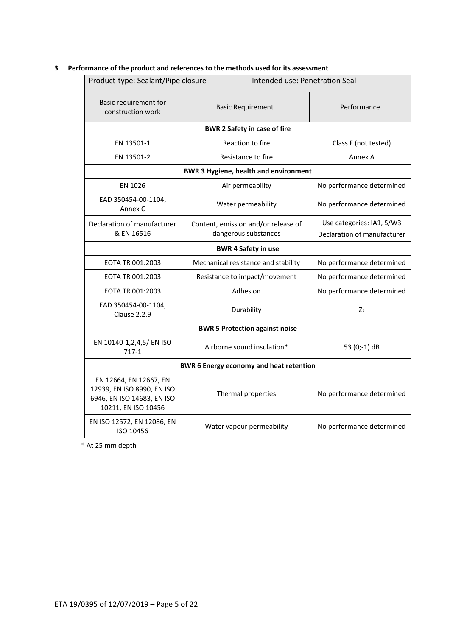| Product-type: Sealant/Pipe closure                                                                        |                                              | Intended use: Penetration Seal        |                             |  |
|-----------------------------------------------------------------------------------------------------------|----------------------------------------------|---------------------------------------|-----------------------------|--|
| Basic requirement for<br>construction work                                                                | <b>Basic Requirement</b>                     |                                       | Performance                 |  |
|                                                                                                           |                                              | <b>BWR 2 Safety in case of fire</b>   |                             |  |
| EN 13501-1                                                                                                | Reaction to fire                             |                                       | Class F (not tested)        |  |
| EN 13501-2                                                                                                | Resistance to fire                           |                                       | Annex A                     |  |
|                                                                                                           | <b>BWR 3 Hygiene, health and environment</b> |                                       |                             |  |
| EN 1026                                                                                                   | Air permeability                             |                                       | No performance determined   |  |
| EAD 350454-00-1104,<br>Annex C                                                                            | Water permeability                           |                                       | No performance determined   |  |
| Declaration of manufacturer                                                                               | Content, emission and/or release of          |                                       | Use categories: IA1, S/W3   |  |
| & EN 16516                                                                                                | dangerous substances                         |                                       | Declaration of manufacturer |  |
|                                                                                                           | <b>BWR 4 Safety in use</b>                   |                                       |                             |  |
| EOTA TR 001:2003                                                                                          | Mechanical resistance and stability          |                                       | No performance determined   |  |
| EOTA TR 001:2003                                                                                          | Resistance to impact/movement                |                                       | No performance determined   |  |
| EOTA TR 001:2003                                                                                          | Adhesion                                     |                                       | No performance determined   |  |
| EAD 350454-00-1104,<br>Clause 2.2.9                                                                       | Durability                                   |                                       | Z <sub>2</sub>              |  |
|                                                                                                           |                                              | <b>BWR 5 Protection against noise</b> |                             |  |
| EN 10140-1,2,4,5/ EN ISO<br>$717-1$                                                                       | Airborne sound insulation*                   |                                       | 53 (0;-1) dB                |  |
| <b>BWR 6 Energy economy and heat retention</b>                                                            |                                              |                                       |                             |  |
| EN 12664, EN 12667, EN<br>12939, EN ISO 8990, EN ISO<br>6946, EN ISO 14683, EN ISO<br>10211, EN ISO 10456 | Thermal properties                           |                                       | No performance determined   |  |
| EN ISO 12572, EN 12086, EN<br>ISO 10456                                                                   | Water vapour permeability                    |                                       | No performance determined   |  |

# <span id="page-4-0"></span>**3 Performance of the product and references to the methods used for its assessment**

\* At 25 mm depth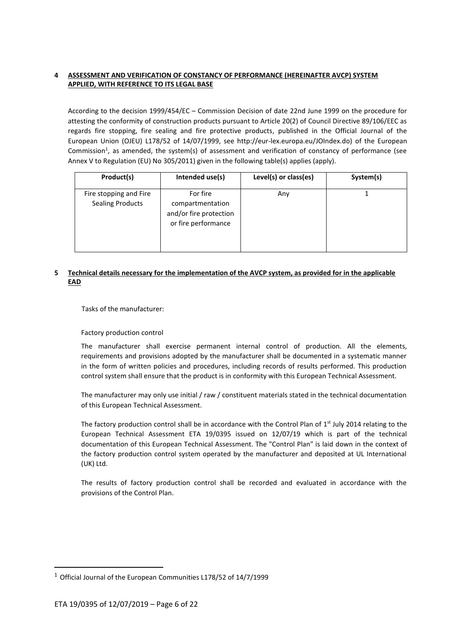# <span id="page-5-0"></span>**4 ASSESSMENT AND VERIFICATION OF CONSTANCY OF PERFORMANCE (HEREINAFTER AVCP) SYSTEM APPLIED, WITH REFERENCE TO ITS LEGAL BASE**

According to the decision 1999/454/EC – Commission Decision of date 22nd June 1999 on the procedure for attesting the conformity of construction products pursuant to Article 20(2) of Council Directive 89/106/EEC as regards fire stopping, fire sealing and fire protective products, published in the Official Journal of the European Union (OJEU) L178/52 of 14/07/1999, see http://eur-lex.europa.eu/JOIndex.do) of the European Commission<sup>1</sup>, as amended, the system(s) of assessment and verification of constancy of performance (see Annex V to Regulation (EU) No 305/2011) given in the following table(s) applies (apply).

| Product(s)                                        | Intended use(s)                                                               | Level(s) or class(es) | System(s) |
|---------------------------------------------------|-------------------------------------------------------------------------------|-----------------------|-----------|
| Fire stopping and Fire<br><b>Sealing Products</b> | For fire<br>compartmentation<br>and/or fire protection<br>or fire performance | Any                   |           |

#### <span id="page-5-1"></span>**5 Technical details necessary for the implementation of the AVCP system, as provided for in the applicable EAD**

Tasks of the manufacturer:

#### Factory production control

The manufacturer shall exercise permanent internal control of production. All the elements, requirements and provisions adopted by the manufacturer shall be documented in a systematic manner in the form of written policies and procedures, including records of results performed. This production control system shall ensure that the product is in conformity with this European Technical Assessment.

The manufacturer may only use initial / raw / constituent materials stated in the technical documentation of this European Technical Assessment.

The factory production control shall be in accordance with the Control Plan of  $1<sup>st</sup>$  July 2014 relating to the European Technical Assessment ETA 19/0395 issued on 12/07/19 which is part of the technical documentation of this European Technical Assessment. The "Control Plan" is laid down in the context of the factory production control system operated by the manufacturer and deposited at UL International (UK) Ltd.

The results of factory production control shall be recorded and evaluated in accordance with the provisions of the Control Plan.

1

<sup>1</sup> Official Journal of the European Communities L178/52 of 14/7/1999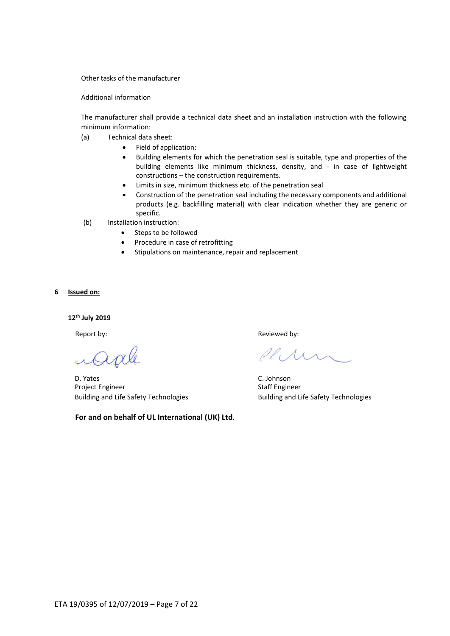#### Other tasks of the manufacturer

#### Additional information

The manufacturer shall provide a technical data sheet and an installation instruction with the following minimum information:

- (a) Technical data sheet:
	- Field of application:
	- Building elements for which the penetration seal is suitable, type and properties of the building elements like minimum thickness, density, and - in case of lightweight constructions – the construction requirements.
	- Limits in size, minimum thickness etc. of the penetration seal
	- Construction of the penetration seal including the necessary components and additional products (e.g. backfilling material) with clear indication whether they are generic or specific.
- (b) Installation instruction:
	- Steps to be followed
	- Procedure in case of retrofitting
	- Stipulations on maintenance, repair and replacement

<span id="page-6-0"></span>**6 Issued on:**

**12th July 2019**

D. Yates C. Johnson Project Engineer Staff Engineer Building and Life Safety Technologies **Building and Life Safety Technologies** Building and Life Safety Technologies

**For and on behalf of UL International (UK) Ltd**.

Report by: The contract of the contract of the Reviewed by:

 $\mathscr{P}$ ,  $\Lambda$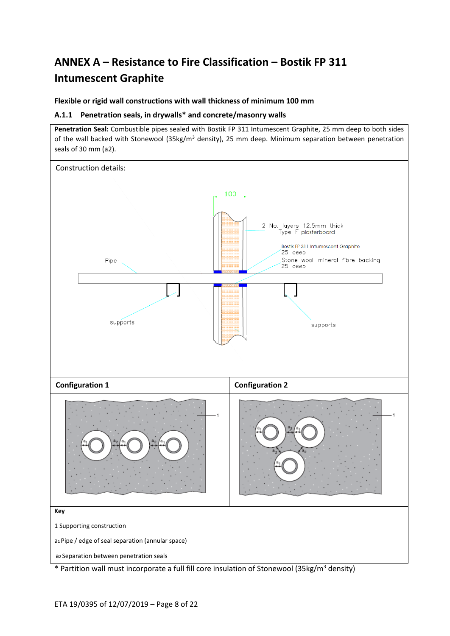# <span id="page-7-0"></span>**ANNEX A – Resistance to Fire Classification – Bostik FP 311 Intumescent Graphite**

<span id="page-7-1"></span>**Flexible or rigid wall constructions with wall thickness of minimum 100 mm**

# <span id="page-7-2"></span>**A.1.1 Penetration seals, in drywalls\* and concrete/masonry walls**

**Penetration Seal:** Combustible pipes sealed with Bostik FP 311 Intumescent Graphite, 25 mm deep to both sides of the wall backed with Stonewool (35kg/m<sup>3</sup> density), 25 mm deep. Minimum separation between penetration seals of 30 mm (a2).



\* Partition wall must incorporate a full fill core insulation of Stonewool (35kg/m<sup>3</sup> density)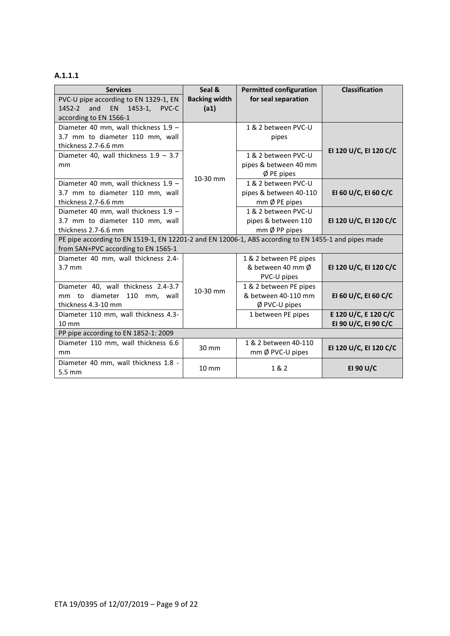| <b>Services</b>                                                                                      | Seal &               | <b>Permitted configuration</b> | <b>Classification</b>  |  |  |
|------------------------------------------------------------------------------------------------------|----------------------|--------------------------------|------------------------|--|--|
| PVC-U pipe according to EN 1329-1, EN                                                                | <b>Backing width</b> | for seal separation            |                        |  |  |
| and<br>EN<br>$1453-1,$<br>1452-2<br>PVC-C                                                            | (a1)                 |                                |                        |  |  |
| according to EN 1566-1                                                                               |                      |                                |                        |  |  |
| Diameter 40 mm, wall thickness 1.9 -                                                                 |                      | 1 & 2 between PVC-U            |                        |  |  |
| 3.7 mm to diameter 110 mm, wall                                                                      |                      | pipes                          |                        |  |  |
| thickness 2.7-6.6 mm                                                                                 |                      |                                | EI 120 U/C, EI 120 C/C |  |  |
| Diameter 40, wall thickness $1.9 - 3.7$                                                              |                      | 1 & 2 between PVC-U            |                        |  |  |
| mm                                                                                                   |                      | pipes & between 40 mm          |                        |  |  |
|                                                                                                      | 10-30 mm             | $\emptyset$ PE pipes           |                        |  |  |
| Diameter 40 mm, wall thickness 1.9 -                                                                 |                      | 1 & 2 between PVC-U            |                        |  |  |
| 3.7 mm to diameter 110 mm, wall                                                                      |                      | pipes & between 40-110         | EI 60 U/C, EI 60 C/C   |  |  |
| thickness 2.7-6.6 mm                                                                                 |                      | $mm$ Ø PE pipes                |                        |  |  |
| Diameter 40 mm, wall thickness 1.9 -                                                                 |                      | 1 & 2 between PVC-U            |                        |  |  |
| 3.7 mm to diameter 110 mm, wall                                                                      |                      | pipes & between 110            | EI 120 U/C, EI 120 C/C |  |  |
| thickness 2.7-6.6 mm                                                                                 |                      | $mm$ Ø PP pipes                |                        |  |  |
| PE pipe according to EN 1519-1, EN 12201-2 and EN 12006-1, ABS according to EN 1455-1 and pipes made |                      |                                |                        |  |  |
| from SAN+PVC according to EN 1565-1                                                                  |                      |                                |                        |  |  |
| Diameter 40 mm, wall thickness 2.4-                                                                  |                      | 1 & 2 between PE pipes         |                        |  |  |
| $3.7 \text{ mm}$                                                                                     |                      | & between 40 mm Ø              | EI 120 U/C, EI 120 C/C |  |  |
|                                                                                                      |                      | PVC-U pipes                    |                        |  |  |
| Diameter 40, wall thickness 2.4-3.7                                                                  | 10-30 mm             | 1 & 2 between PE pipes         |                        |  |  |
| mm to diameter 110<br>mm, wall                                                                       |                      | & between 40-110 mm            | EI 60 U/C, EI 60 C/C   |  |  |
| thickness 4.3-10 mm                                                                                  |                      | $\emptyset$ PVC-U pipes        |                        |  |  |
| Diameter 110 mm, wall thickness 4.3-                                                                 |                      | 1 between PE pipes             | E 120 U/C, E 120 C/C   |  |  |
| $10 \text{ mm}$                                                                                      |                      |                                | EI 90 U/C, EI 90 C/C   |  |  |
| PP pipe according to EN 1852-1: 2009                                                                 |                      |                                |                        |  |  |
| Diameter 110 mm, wall thickness 6.6                                                                  | $30 \text{ mm}$      | 1 & 2 between 40-110           | EI 120 U/C, EI 120 C/C |  |  |
| mm.                                                                                                  |                      | mm Ø PVC-U pipes               |                        |  |  |
| Diameter 40 mm, wall thickness 1.8 -                                                                 |                      |                                |                        |  |  |
| 5.5 mm                                                                                               | $10 \, \text{mm}$    | 1 & 2                          | EI 90 U/C              |  |  |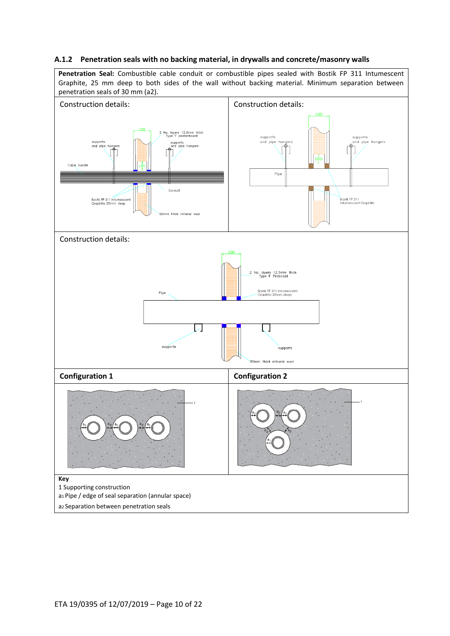#### <span id="page-9-0"></span>**A.1.2 Penetration seals with no backing material, in drywalls and concrete/masonry walls**

**Penetration Seal:** Combustible cable conduit or combustible pipes sealed with Bostik FP 311 Intumescent Graphite, 25 mm deep to both sides of the wall without backing material. Minimum separation between penetration seals of 30 mm (a2).

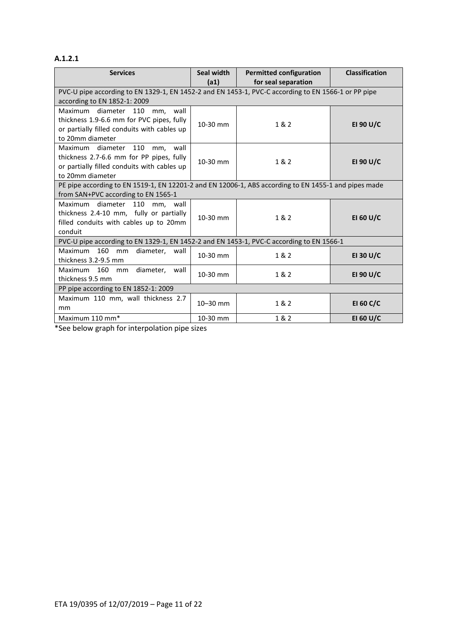# **A.1.2.1**

| <b>Services</b>                                                                                                                                 | Seal width                                                                                                                         | <b>Permitted configuration</b> | <b>Classification</b> |  |  |
|-------------------------------------------------------------------------------------------------------------------------------------------------|------------------------------------------------------------------------------------------------------------------------------------|--------------------------------|-----------------------|--|--|
| according to EN 1852-1: 2009                                                                                                                    | for seal separation<br>(a1)<br>PVC-U pipe according to EN 1329-1, EN 1452-2 and EN 1453-1, PVC-C according to EN 1566-1 or PP pipe |                                |                       |  |  |
| Maximum diameter 110 mm, wall<br>thickness 1.9-6.6 mm for PVC pipes, fully<br>or partially filled conduits with cables up<br>to 20mm diameter   | 10-30 mm                                                                                                                           | 1 & 2                          | EI 90 U/C             |  |  |
| Maximum diameter 110<br>mm, wall<br>thickness 2.7-6.6 mm for PP pipes, fully<br>or partially filled conduits with cables up<br>to 20mm diameter | 10-30 mm                                                                                                                           | 1&2                            | EI 90 U/C             |  |  |
| PE pipe according to EN 1519-1, EN 12201-2 and EN 12006-1, ABS according to EN 1455-1 and pipes made<br>from SAN+PVC according to EN 1565-1     |                                                                                                                                    |                                |                       |  |  |
| Maximum diameter 110 mm. wall<br>thickness 2.4-10 mm, fully or partially<br>filled conduits with cables up to 20mm<br>conduit                   | 10-30 mm                                                                                                                           | 1&2                            | EI 60 U/C             |  |  |
| PVC-U pipe according to EN 1329-1, EN 1452-2 and EN 1453-1, PVC-C according to EN 1566-1                                                        |                                                                                                                                    |                                |                       |  |  |
| Maximum 160<br>diameter, wall<br>mm<br>thickness 3.2-9.5 mm                                                                                     | 10-30 mm                                                                                                                           | 1&2                            | EI 30 U/C             |  |  |
| Maximum 160<br>diameter,<br>mm<br>wall<br>thickness 9.5 mm                                                                                      | 10-30 mm                                                                                                                           | 1&2                            | EI 90 U/C             |  |  |
| PP pipe according to EN 1852-1: 2009                                                                                                            |                                                                                                                                    |                                |                       |  |  |
| Maximum 110 mm, wall thickness 2.7<br>mm                                                                                                        | $10 - 30$ mm                                                                                                                       | 1 & 2                          | EI 60 C/C             |  |  |
| Maximum 110 mm*                                                                                                                                 | 10-30 mm                                                                                                                           | 1 & 2                          | EI 60 U/C             |  |  |

\*See below graph for interpolation pipe sizes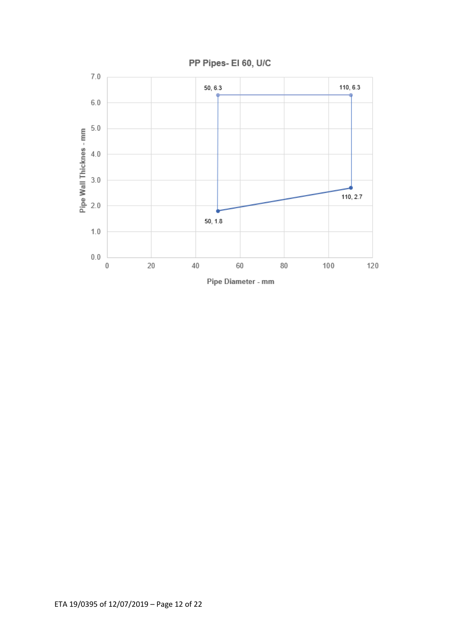

Pipe Diameter - mm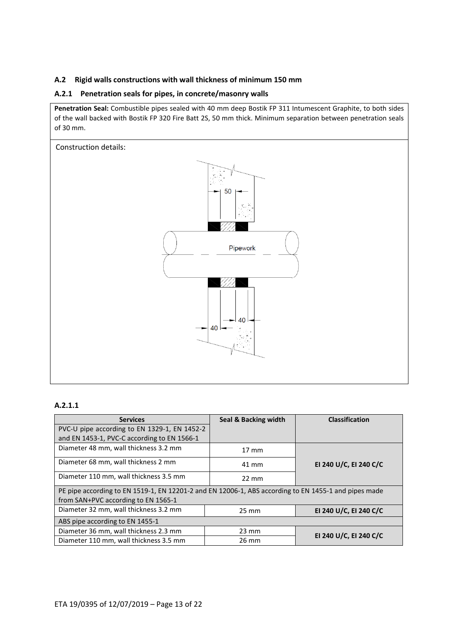# <span id="page-12-0"></span>**A.2 Rigid walls constructions with wall thickness of minimum 150 mm**

### <span id="page-12-1"></span>**A.2.1 Penetration seals for pipes, in concrete/masonry walls**

**Penetration Seal:** Combustible pipes sealed with 40 mm deep Bostik FP 311 Intumescent Graphite, to both sides of the wall backed with Bostik FP 320 Fire Batt 2S, 50 mm thick. Minimum separation between penetration seals of 30 mm.



#### **A.2.1.1**

| <b>Services</b>                                                                                      | Seal & Backing width | <b>Classification</b>  |  |  |
|------------------------------------------------------------------------------------------------------|----------------------|------------------------|--|--|
| PVC-U pipe according to EN 1329-1, EN 1452-2                                                         |                      |                        |  |  |
| and EN 1453-1, PVC-C according to EN 1566-1                                                          |                      |                        |  |  |
| Diameter 48 mm, wall thickness 3.2 mm                                                                | $17 \text{ mm}$      |                        |  |  |
| Diameter 68 mm, wall thickness 2 mm                                                                  | 41 mm                | EI 240 U/C, EI 240 C/C |  |  |
| Diameter 110 mm, wall thickness 3.5 mm                                                               | $22 \text{ mm}$      |                        |  |  |
| PE pipe according to EN 1519-1, EN 12201-2 and EN 12006-1, ABS according to EN 1455-1 and pipes made |                      |                        |  |  |
| from SAN+PVC according to EN 1565-1                                                                  |                      |                        |  |  |
| Diameter 32 mm, wall thickness 3.2 mm                                                                | $25 \text{ mm}$      | EI 240 U/C, EI 240 C/C |  |  |
| ABS pipe according to EN 1455-1                                                                      |                      |                        |  |  |
| Diameter 36 mm, wall thickness 2.3 mm                                                                | $23 \text{ mm}$      | EI 240 U/C, EI 240 C/C |  |  |
| Diameter 110 mm, wall thickness 3.5 mm                                                               | 26 mm                |                        |  |  |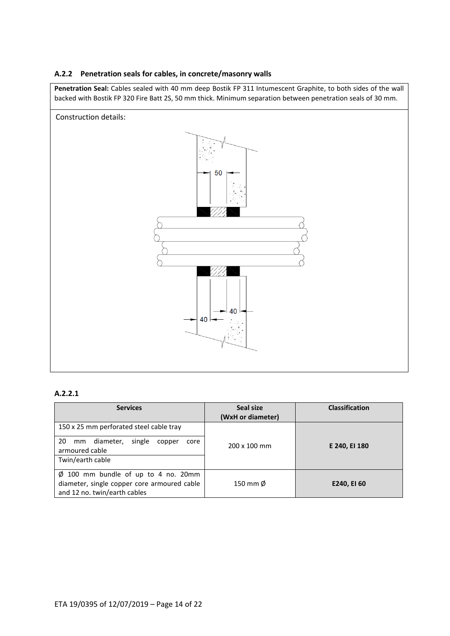# <span id="page-13-0"></span>**A.2.2 Penetration seals for cables, in concrete/masonry walls**

**Penetration Seal:** Cables sealed with 40 mm deep Bostik FP 311 Intumescent Graphite, to both sides of the wall backed with Bostik FP 320 Fire Batt 2S, 50 mm thick. Minimum separation between penetration seals of 30 mm.



# **A.2.2.1**

| <b>Services</b>                                                                                                                    | Seal size<br>(WxH or diameter) | <b>Classification</b> |
|------------------------------------------------------------------------------------------------------------------------------------|--------------------------------|-----------------------|
| 150 x 25 mm perforated steel cable tray<br>20<br>diameter,<br>single<br>mm<br>copper<br>core<br>armoured cable<br>Twin/earth cable | $200 \times 100$ mm            | E 240, EI 180         |
| $\varnothing$ 100 mm bundle of up to 4 no. 20mm<br>diameter, single copper core armoured cable<br>and 12 no. twin/earth cables     | 150 mm Ø                       | E240, EI 60           |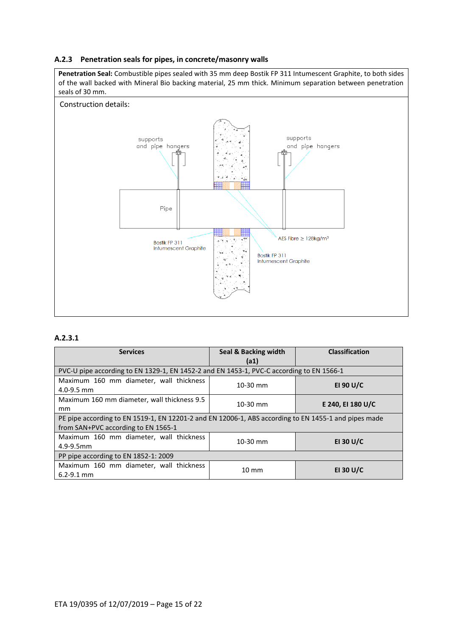<span id="page-14-0"></span>

**Penetration Seal:** Combustible pipes sealed with 35 mm deep Bostik FP 311 Intumescent Graphite, to both sides of the wall backed with Mineral Bio backing material, 25 mm thick. Minimum separation between penetration seals of 30 mm.



#### **A.2.3.1**

| <b>Services</b>                                                                                                                             | Seal & Backing width<br>(a1) | <b>Classification</b> |  |
|---------------------------------------------------------------------------------------------------------------------------------------------|------------------------------|-----------------------|--|
| PVC-U pipe according to EN 1329-1, EN 1452-2 and EN 1453-1, PVC-C according to EN 1566-1                                                    |                              |                       |  |
| Maximum 160 mm diameter, wall thickness<br>$4.0 - 9.5$ mm                                                                                   | 10-30 mm                     | EI 90 U/C             |  |
| Maximum 160 mm diameter, wall thickness 9.5<br>mm                                                                                           | 10-30 mm                     | E 240, EI 180 U/C     |  |
| PE pipe according to EN 1519-1, EN 12201-2 and EN 12006-1, ABS according to EN 1455-1 and pipes made<br>from SAN+PVC according to EN 1565-1 |                              |                       |  |
| Maximum 160 mm diameter, wall thickness<br>4.9-9.5mm                                                                                        | $10-30$ mm                   | EI 30 U/C             |  |
| PP pipe according to EN 1852-1: 2009                                                                                                        |                              |                       |  |
| Maximum 160 mm diameter, wall thickness<br>$6.2 - 9.1$ mm                                                                                   | $10 \text{ mm}$              | EI 30 U/C             |  |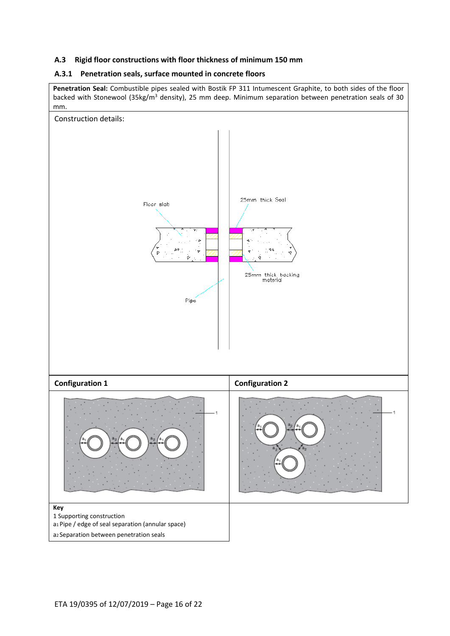# <span id="page-15-0"></span>**A.3 Rigid floor constructions with floor thickness of minimum 150 mm**

#### <span id="page-15-1"></span>**A.3.1 Penetration seals, surface mounted in concrete floors**

**Penetration Seal:** Combustible pipes sealed with Bostik FP 311 Intumescent Graphite, to both sides of the floor backed with Stonewool (35kg/m<sup>3</sup> density), 25 mm deep. Minimum separation between penetration seals of 30 mm.

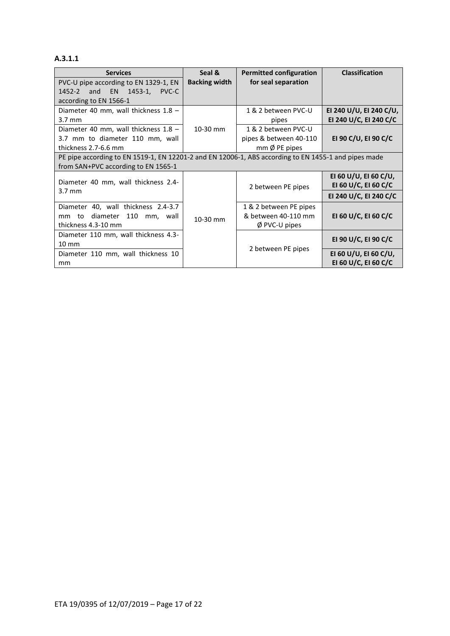# **A.3.1.1**

| <b>Services</b>                                                                                      | Seal &               | <b>Permitted configuration</b> | <b>Classification</b>   |
|------------------------------------------------------------------------------------------------------|----------------------|--------------------------------|-------------------------|
| PVC-U pipe according to EN 1329-1, EN                                                                | <b>Backing width</b> | for seal separation            |                         |
| EN 1453-1,<br>PVC-C<br>1452-2<br>and                                                                 |                      |                                |                         |
| according to EN 1566-1                                                                               |                      |                                |                         |
| Diameter 40 mm, wall thickness 1.8 -                                                                 |                      | 1 & 2 between PVC-U            | EI 240 U/U, EI 240 C/U, |
| $3.7 \text{ mm}$                                                                                     |                      | pipes                          | EI 240 U/C, EI 240 C/C  |
| Diameter 40 mm, wall thickness 1.8 -                                                                 | 10-30 mm             | 1 & 2 between PVC-U            |                         |
| 3.7 mm to diameter 110 mm, wall                                                                      |                      | pipes & between 40-110         | EI 90 C/U, EI 90 C/C    |
| thickness 2.7-6.6 mm                                                                                 |                      | $mm$ Ø PE pipes                |                         |
| PE pipe according to EN 1519-1, EN 12201-2 and EN 12006-1, ABS according to EN 1455-1 and pipes made |                      |                                |                         |
| from SAN+PVC according to EN 1565-1                                                                  |                      |                                |                         |
|                                                                                                      |                      |                                | EI 60 U/U, EI 60 C/U,   |
| Diameter 40 mm, wall thickness 2.4-                                                                  |                      | 2 between PE pipes             | EI 60 U/C, EI 60 C/C    |
| $3.7 \text{ mm}$                                                                                     |                      |                                | EI 240 U/C, EI 240 C/C  |
| Diameter 40, wall thickness 2.4-3.7                                                                  |                      | 1 & 2 between PE pipes         |                         |
| diameter<br>110<br>mm to<br>mm, wall                                                                 | 10-30 mm             | & between 40-110 mm            | EI 60 U/C, EI 60 C/C    |
| thickness 4.3-10 mm                                                                                  |                      | $\emptyset$ PVC-U pipes        |                         |
| Diameter 110 mm, wall thickness 4.3-                                                                 |                      |                                |                         |
| $10 \text{ mm}$                                                                                      |                      |                                | EI 90 U/C, EI 90 C/C    |
| Diameter 110 mm, wall thickness 10                                                                   |                      | 2 between PE pipes             | EI 60 U/U, EI 60 C/U,   |
| mm                                                                                                   |                      |                                | EI 60 U/C, EI 60 C/C    |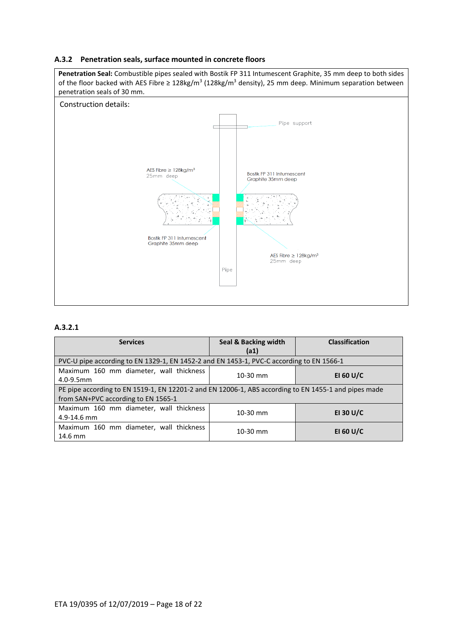### <span id="page-17-0"></span>**A.3.2 Penetration seals, surface mounted in concrete floors**



# **A.3.2.1**

| <b>Services</b>                                                                                      | <b>Seal &amp; Backing width</b> | <b>Classification</b> |  |  |
|------------------------------------------------------------------------------------------------------|---------------------------------|-----------------------|--|--|
|                                                                                                      | (a1)                            |                       |  |  |
| PVC-U pipe according to EN 1329-1, EN 1452-2 and EN 1453-1, PVC-C according to EN 1566-1             |                                 |                       |  |  |
| Maximum 160 mm diameter, wall thickness                                                              | $10-30$ mm                      | EI 60 U/C             |  |  |
| 4.0-9.5mm                                                                                            |                                 |                       |  |  |
| PE pipe according to EN 1519-1, EN 12201-2 and EN 12006-1, ABS according to EN 1455-1 and pipes made |                                 |                       |  |  |
| from SAN+PVC according to EN 1565-1                                                                  |                                 |                       |  |  |
| Maximum 160 mm diameter, wall thickness                                                              | $10-30$ mm                      | EI 30 U/C             |  |  |
| 4.9-14.6 mm                                                                                          |                                 |                       |  |  |
| Maximum 160 mm diameter, wall thickness                                                              | $10-30$ mm                      | EI 60 U/C             |  |  |
| 14.6 mm                                                                                              |                                 |                       |  |  |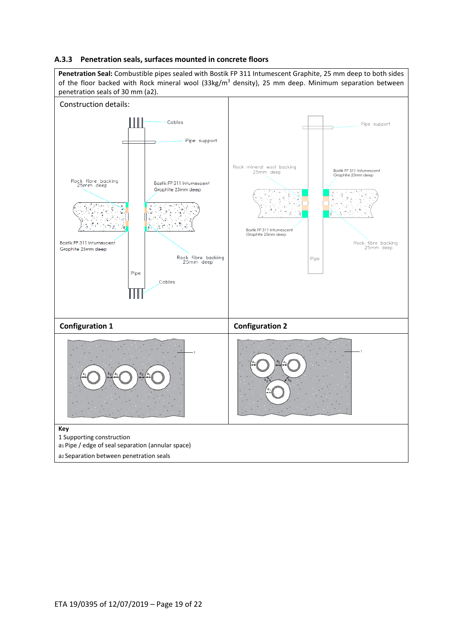

#### <span id="page-18-0"></span>**A.3.3 Penetration seals, surfaces mounted in concrete floors**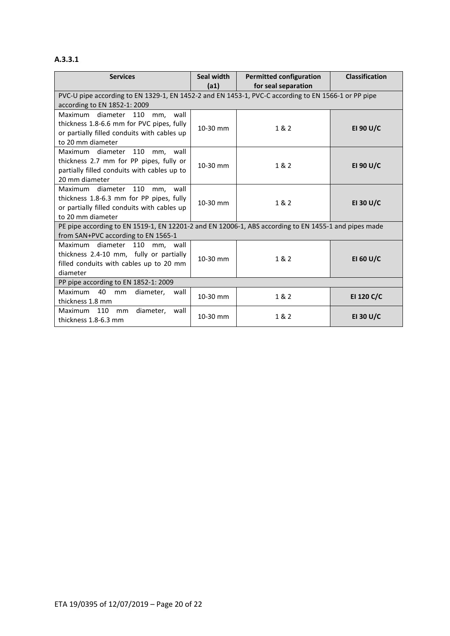#### **A.3.3.1**

| <b>Services</b>                                                                                      | Seal width | <b>Permitted configuration</b> | <b>Classification</b> |  |  |  |
|------------------------------------------------------------------------------------------------------|------------|--------------------------------|-----------------------|--|--|--|
|                                                                                                      | (a1)       |                                |                       |  |  |  |
| PVC-U pipe according to EN 1329-1, EN 1452-2 and EN 1453-1, PVC-C according to EN 1566-1 or PP pipe  |            |                                |                       |  |  |  |
| according to EN 1852-1: 2009                                                                         |            |                                |                       |  |  |  |
| Maximum diameter 110<br>mm, wall                                                                     |            |                                |                       |  |  |  |
| thickness 1.8-6.6 mm for PVC pipes, fully                                                            | $10-30$ mm | 1 & 2                          | EI 90 U/C             |  |  |  |
| or partially filled conduits with cables up                                                          |            |                                |                       |  |  |  |
| to 20 mm diameter                                                                                    |            |                                |                       |  |  |  |
| Maximum diameter 110<br>mm, wall                                                                     |            |                                |                       |  |  |  |
| thickness 2.7 mm for PP pipes, fully or                                                              | 10-30 mm   | 1&2                            | EI 90 U/C             |  |  |  |
| partially filled conduits with cables up to                                                          |            |                                |                       |  |  |  |
| 20 mm diameter                                                                                       |            |                                |                       |  |  |  |
| Maximum diameter<br>110<br>wall<br>mm,                                                               |            |                                |                       |  |  |  |
| thickness 1.8-6.3 mm for PP pipes, fully                                                             | $10-30$ mm | 1 & 2                          | EI 30 U/C             |  |  |  |
| or partially filled conduits with cables up                                                          |            |                                |                       |  |  |  |
| to 20 mm diameter                                                                                    |            |                                |                       |  |  |  |
| PE pipe according to EN 1519-1, EN 12201-2 and EN 12006-1, ABS according to EN 1455-1 and pipes made |            |                                |                       |  |  |  |
| from SAN+PVC according to EN 1565-1                                                                  |            |                                |                       |  |  |  |
| Maximum diameter 110 mm. wall                                                                        |            |                                |                       |  |  |  |
| thickness 2.4-10 mm, fully or partially                                                              | 10-30 mm   | 1 & 2                          | EI 60 U/C             |  |  |  |
| filled conduits with cables up to 20 mm                                                              |            |                                |                       |  |  |  |
| diameter                                                                                             |            |                                |                       |  |  |  |
| PP pipe according to EN 1852-1: 2009                                                                 |            |                                |                       |  |  |  |
| Maximum<br>40<br>diameter,<br>mm<br>wall                                                             | 10-30 mm   | 1 & 2                          | EI 120 C/C            |  |  |  |
| thickness 1.8 mm                                                                                     |            |                                |                       |  |  |  |
| diameter,<br>110<br>Maximum<br>wall<br>mm                                                            | 10-30 mm   | 1 & 2                          |                       |  |  |  |
| thickness 1.8-6.3 mm                                                                                 |            |                                | EI 30 U/C             |  |  |  |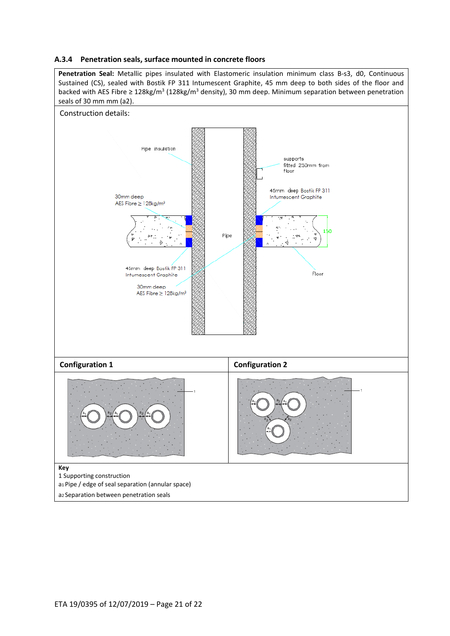### <span id="page-20-0"></span>**A.3.4 Penetration seals, surface mounted in concrete floors**

**Penetration Seal:** Metallic pipes insulated with Elastomeric insulation minimum class B-s3, d0, Continuous Sustained (CS), sealed with Bostik FP 311 Intumescent Graphite, 45 mm deep to both sides of the floor and backed with AES Fibre ≥ 128kg/m<sup>3</sup> (128kg/m<sup>3</sup> density), 30 mm deep. Minimum separation between penetration seals of 30 mm mm (a2).